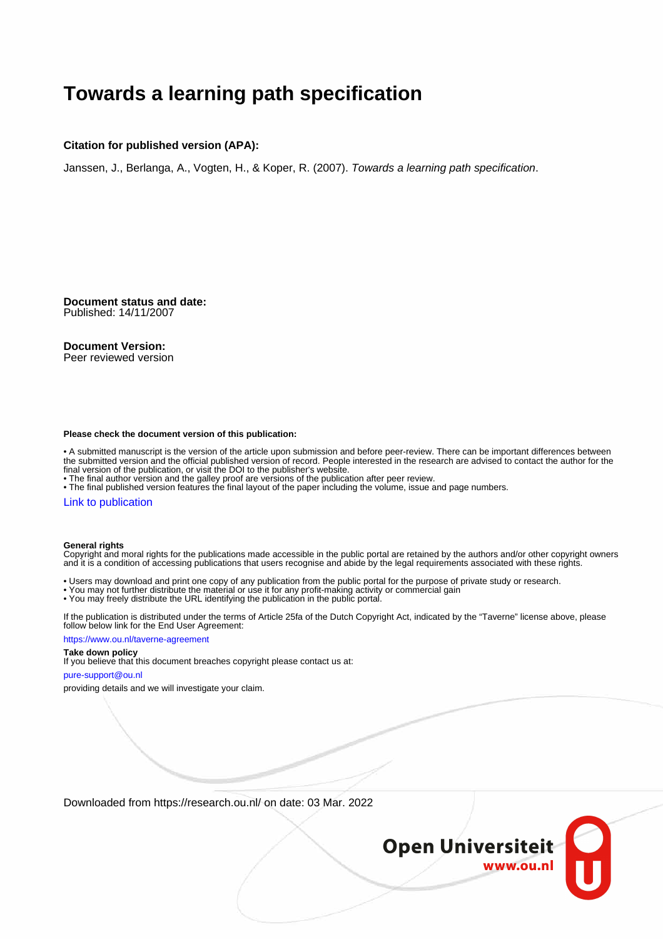### **Towards a learning path specification**

#### **Citation for published version (APA):**

Janssen, J., Berlanga, A., Vogten, H., & Koper, R. (2007). Towards a learning path specification.

**Document status and date:** Published: 14/11/2007

#### **Document Version:**

Peer reviewed version

#### **Please check the document version of this publication:**

• A submitted manuscript is the version of the article upon submission and before peer-review. There can be important differences between the submitted version and the official published version of record. People interested in the research are advised to contact the author for the final version of the publication, or visit the DOI to the publisher's website.

• The final author version and the galley proof are versions of the publication after peer review.

• The final published version features the final layout of the paper including the volume, issue and page numbers.

#### [Link to publication](https://research.ou.nl/en/publications/62b0e6ba-7add-4dd7-a4d8-ba0150c66cf4)

#### **General rights**

Copyright and moral rights for the publications made accessible in the public portal are retained by the authors and/or other copyright owners and it is a condition of accessing publications that users recognise and abide by the legal requirements associated with these rights.

- Users may download and print one copy of any publication from the public portal for the purpose of private study or research.
- You may not further distribute the material or use it for any profit-making activity or commercial gain
- You may freely distribute the URL identifying the publication in the public portal.

If the publication is distributed under the terms of Article 25fa of the Dutch Copyright Act, indicated by the "Taverne" license above, please follow below link for the End User Agreement:

#### https://www.ou.nl/taverne-agreement

### **Take down policy**

If you believe that this document breaches copyright please contact us at:

#### pure-support@ou.nl

providing details and we will investigate your claim.

Downloaded from https://research.ou.nl/ on date: 03 Mar. 2022

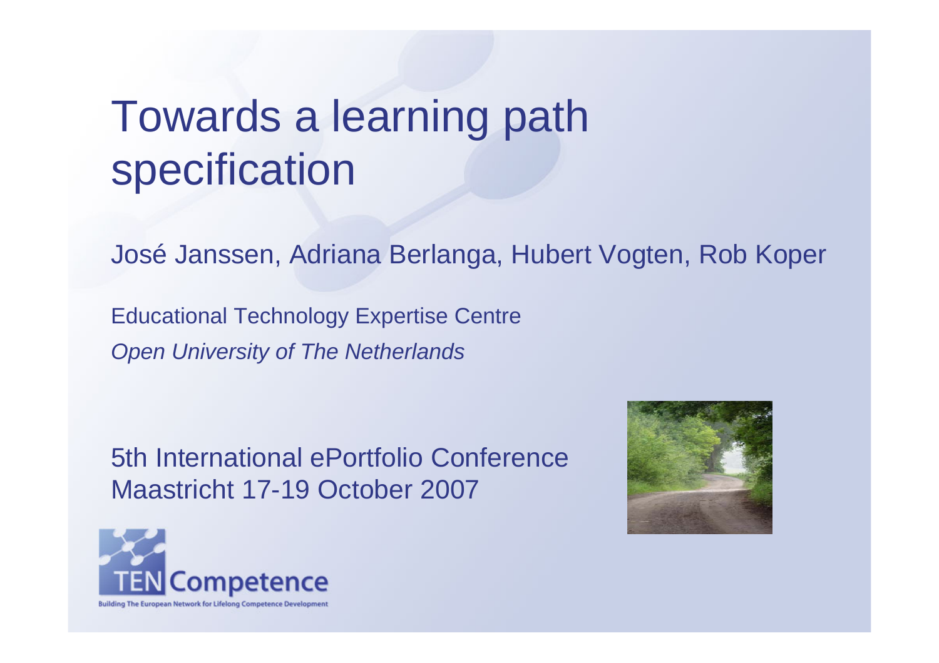# Towards a learning path specification

José Janssen, Adriana Berlanga, Hubert Vogten, Rob Koper

Educational Technology Expertise Centre *Open University of The Netherlands*

5th International ePortfolio Conference Maastricht 17-19 October 2007



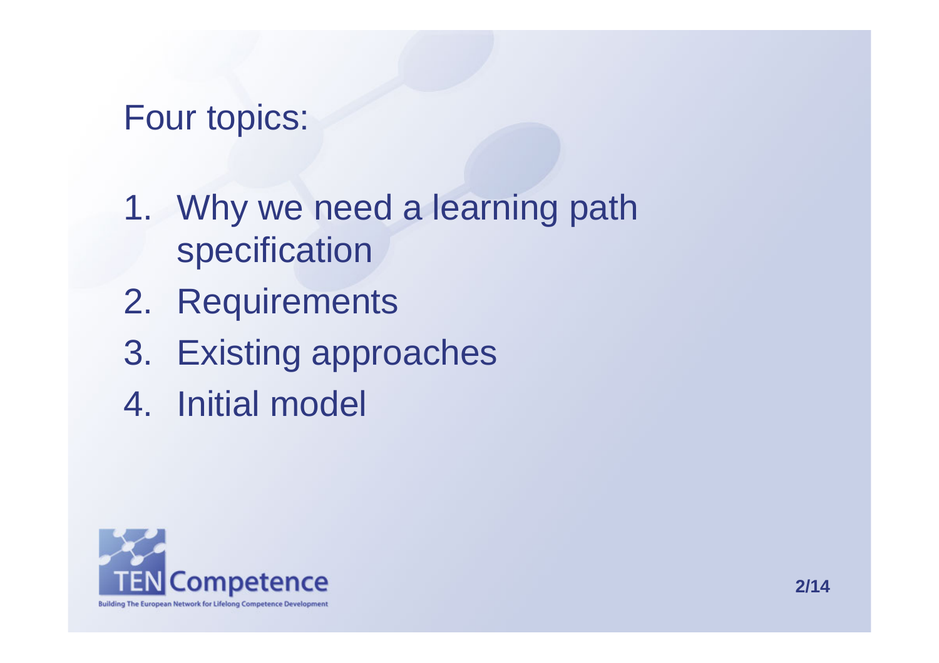## Four topics:

- 1. Why we need a learning path specification
- 2. Requirements
- 3. Existing approaches
- 4. Initial model

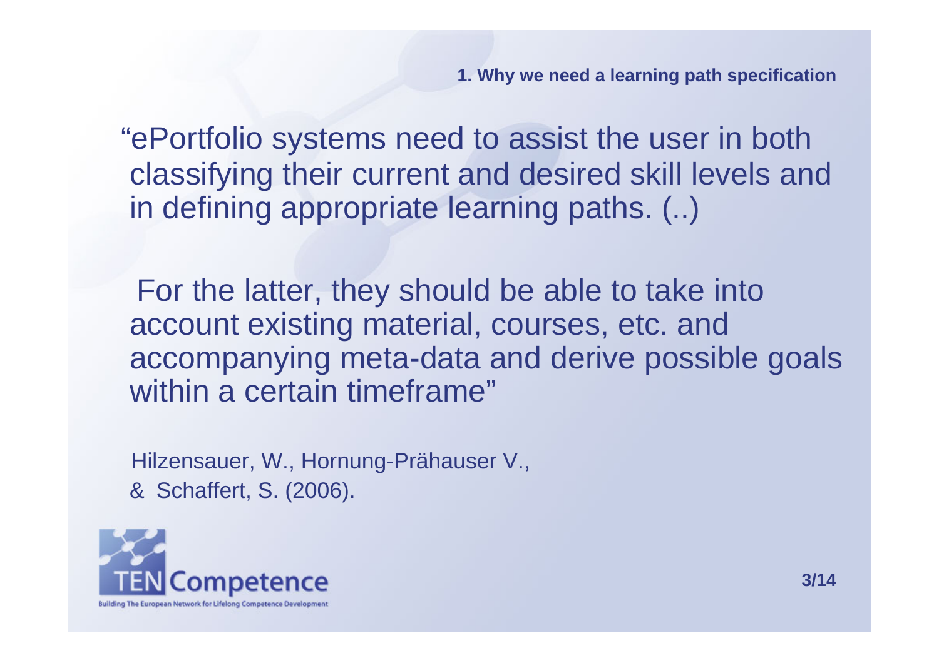"ePortfolio systems need to assist the user in both classifying their current and desired skill levels and in defining appropriate learning paths. (..)

For the latter, they should be able to take into account existing material, courses, etc. and accompanying meta-data and derive possible goals within a certain timeframe"

Hilzensauer, W., Hornung-Prähauser V., & Schaffert, S. (2006).

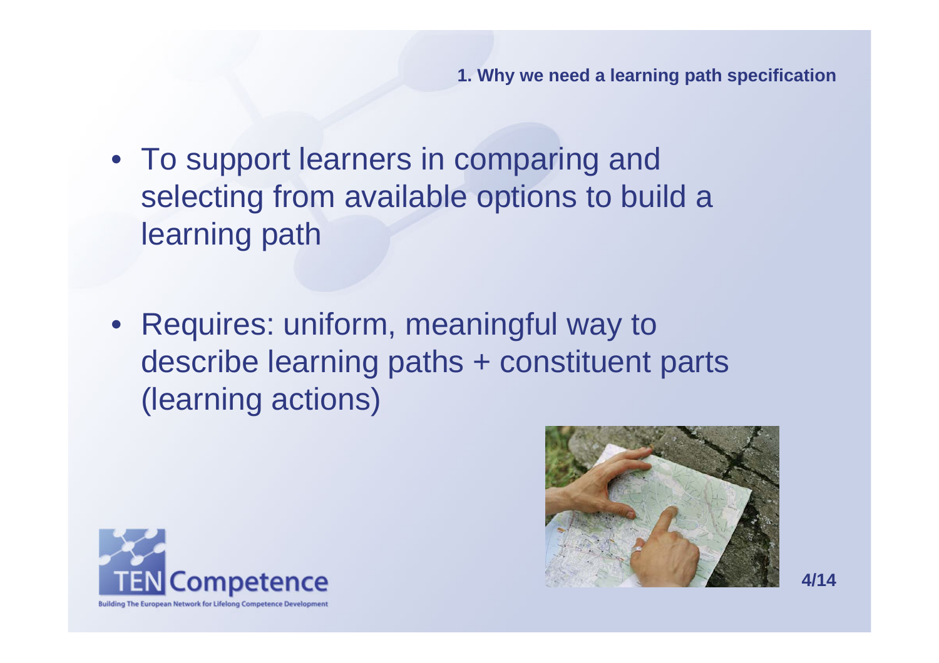- To support learners in comparing and selecting from available options to build <sup>a</sup> learning path
- Requires: uniform, meaningful way to describe learning paths + constituent parts (learning actions)



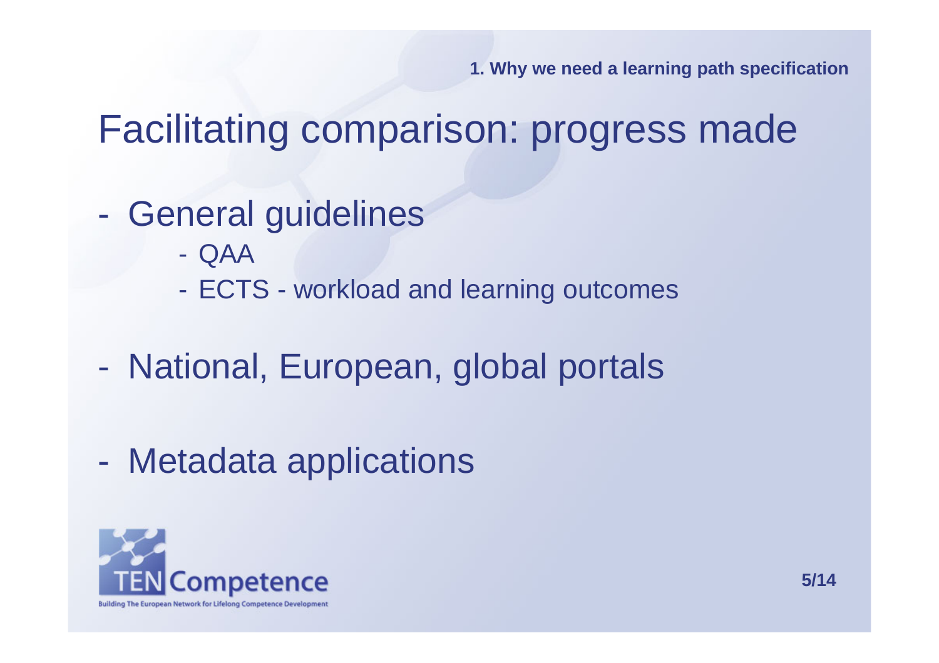Facilitating comparison: progress made

- General guidelines
	- QAA
	- $\mathcal{L}_{\mathcal{A}}$ ECTS - workload and learning outcomes
- National, European, global portals
- Metadata applications

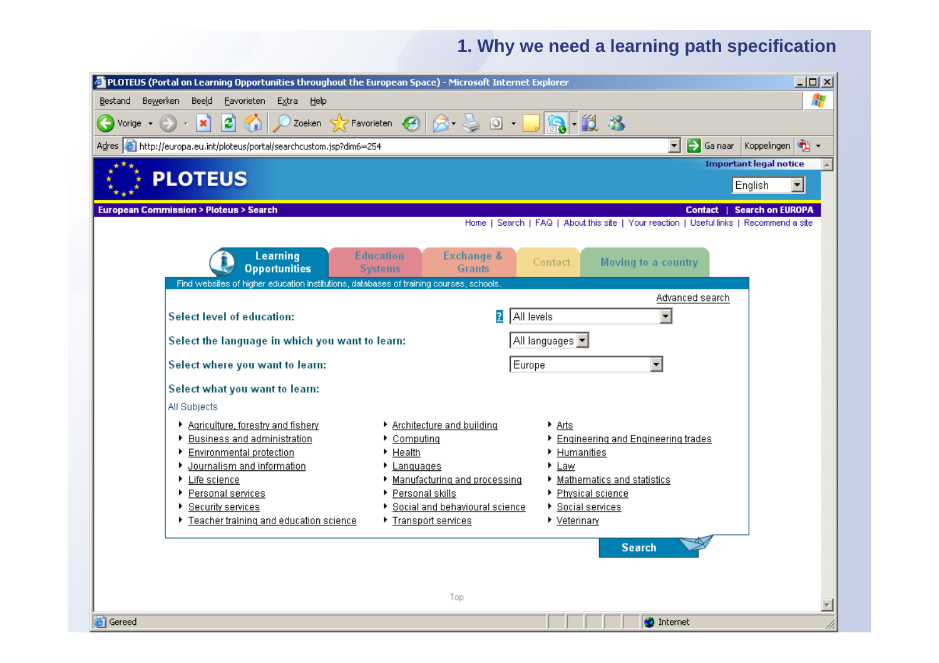**O** Internet

/i.

| PLOTEUS (Portal on Learning Opportunities throughout the European Space) - Microsoft Internet Explorer |                                                                                         |                                                                                     |                                                                                  | $\Box$ o $\Box$            |
|--------------------------------------------------------------------------------------------------------|-----------------------------------------------------------------------------------------|-------------------------------------------------------------------------------------|----------------------------------------------------------------------------------|----------------------------|
| Bewerken<br>Bestand                                                                                    | Beeld<br>Eavorieten<br>Extra<br><u>H</u> elp                                            |                                                                                     |                                                                                  | 4                          |
| Vorige *                                                                                               | ß<br>$\bullet$<br>×                                                                     | Zoeken $\mathcal{B}$ Favorieten $\mathcal{B}$ $\mathcal{B}$ $\mathcal{B}$<br>$\Box$ | 10. XX                                                                           |                            |
|                                                                                                        | Adres <b>&amp; http://europa.eu.int/ploteus/portal/searchcustom.jsp?dim6=254</b>        |                                                                                     | →<br>至<br>Ga naar                                                                | $\bullet$ .<br>Koppelingen |
| <b>Important legal notice</b>                                                                          |                                                                                         |                                                                                     |                                                                                  |                            |
| <b>PLOTEUS</b><br>English                                                                              |                                                                                         |                                                                                     |                                                                                  | ▾                          |
| <b>European Commission &gt; Ploteus &gt; Search</b><br><b>Search on EUROPA</b><br><b>Contact</b>       |                                                                                         |                                                                                     |                                                                                  |                            |
|                                                                                                        |                                                                                         | Home 1                                                                              | Search   FAQ   About this site   Your reaction   Useful links   Recommend a site |                            |
|                                                                                                        | Learning<br><b>Opportunities</b>                                                        | <b>Education</b><br>Exchange &<br><b>Systems</b><br><b>Grants</b>                   | Moving to a country<br>Contact                                                   |                            |
|                                                                                                        | Find websites of higher education institutions, databases of training courses, schools. |                                                                                     |                                                                                  |                            |
|                                                                                                        |                                                                                         |                                                                                     | Advanced search                                                                  |                            |
|                                                                                                        | <b>Select level of education:</b>                                                       | $\overline{?}$<br>All levels                                                        | $\overline{\phantom{0}}$                                                         |                            |
|                                                                                                        | Select the language in which you want to learn:                                         |                                                                                     | All languages v                                                                  |                            |
|                                                                                                        | Select where you want to learn:                                                         | Europe                                                                              | $\overline{\phantom{a}}$                                                         |                            |
|                                                                                                        | Select what you want to learn:                                                          |                                                                                     |                                                                                  |                            |
|                                                                                                        | All Subjects                                                                            |                                                                                     |                                                                                  |                            |
|                                                                                                        | ▶ Agriculture, forestry and fishery                                                     | ▶ Architecture and building                                                         | $A$ rts                                                                          |                            |
|                                                                                                        | ▶ Business and administration                                                           | Computing<br>▶                                                                      | Engineering and Engineering trades                                               |                            |
|                                                                                                        | Environmental protection                                                                | Health<br>▶                                                                         | Humanities                                                                       |                            |
|                                                                                                        | ▶ Journalism and information<br>▶ Life science                                          | Languages<br>Manufacturing and processing                                           | $\blacktriangleright$ Law<br>Mathematics and statistics                          |                            |
|                                                                                                        | ▶ Personal services                                                                     | ▶ Personal skills                                                                   | Physical science                                                                 |                            |
|                                                                                                        | ▶ Security services                                                                     | Social and behavioural science                                                      | ▶ Social services                                                                |                            |
|                                                                                                        | Teacher training and education science                                                  | ▶ Transport services                                                                | $\blacktriangleright$ Veterinary                                                 |                            |
|                                                                                                        |                                                                                         |                                                                                     | <b>Search</b>                                                                    |                            |
|                                                                                                        |                                                                                         |                                                                                     |                                                                                  |                            |
|                                                                                                        |                                                                                         |                                                                                     |                                                                                  |                            |
| Top                                                                                                    |                                                                                         |                                                                                     |                                                                                  |                            |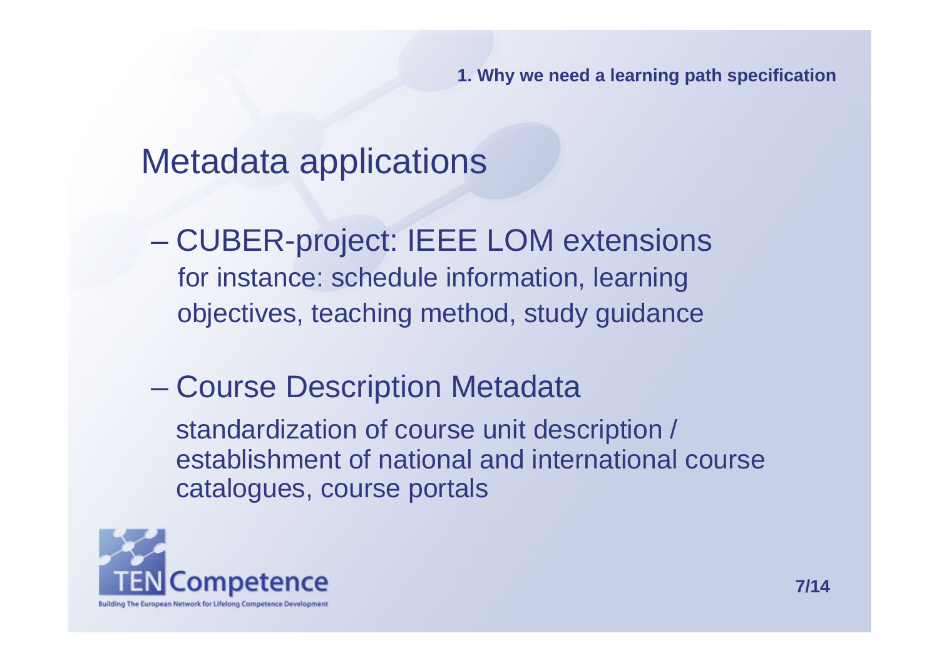### Metadata applications

and the contract of the con- CUBER-project: IEEE LOM extensions for instance: schedule information, learning objectives, teaching method, study guidance

### and the contract of the con-Course Description Metadata

standardization of course unit description / establishment of national and international coursecatalogues, course portals

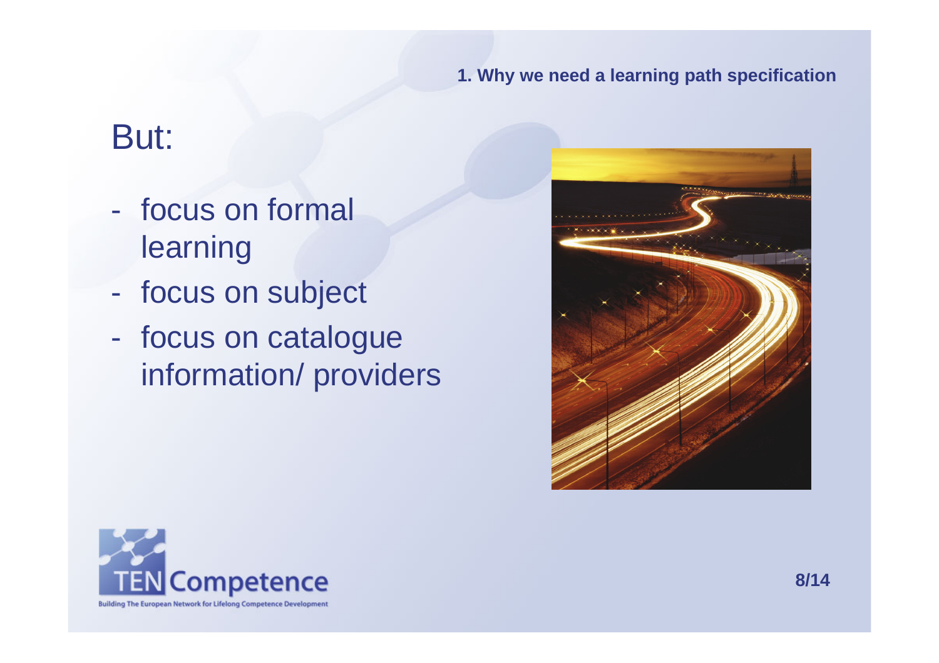### But:

- focus on formal learning
- $\mathcal{L}_{\mathcal{A}}$ focus on subject
- focus on catalogue information/ providers



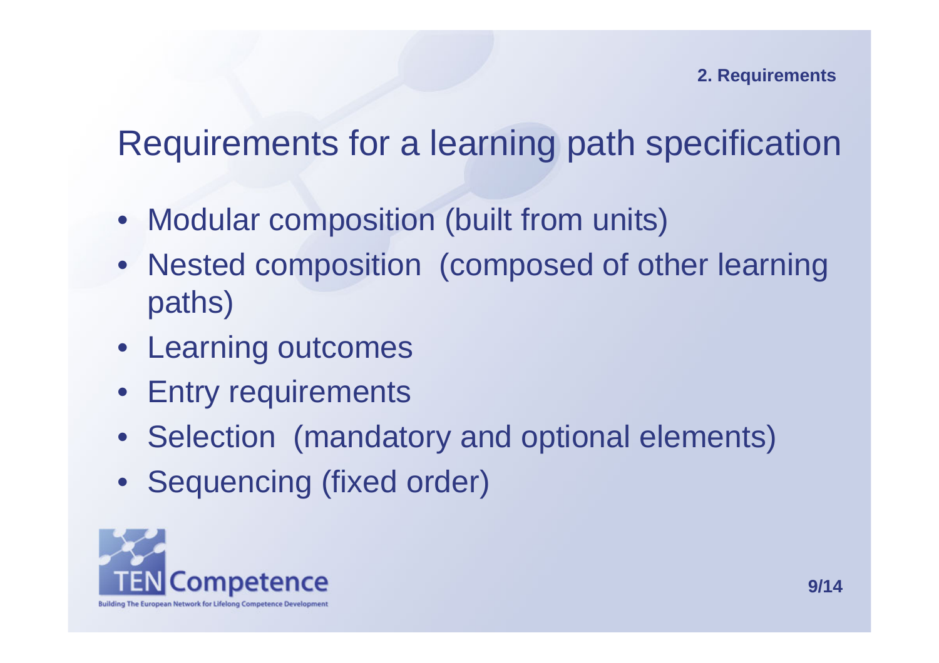## Requirements for a learning path specification

- Modular composition (built from units)
- Nested composition (composed of other learning paths)
- Learning outcomes
- Entry requirements
- Selection (mandatory and optional elements)
- Sequencing (fixed order)

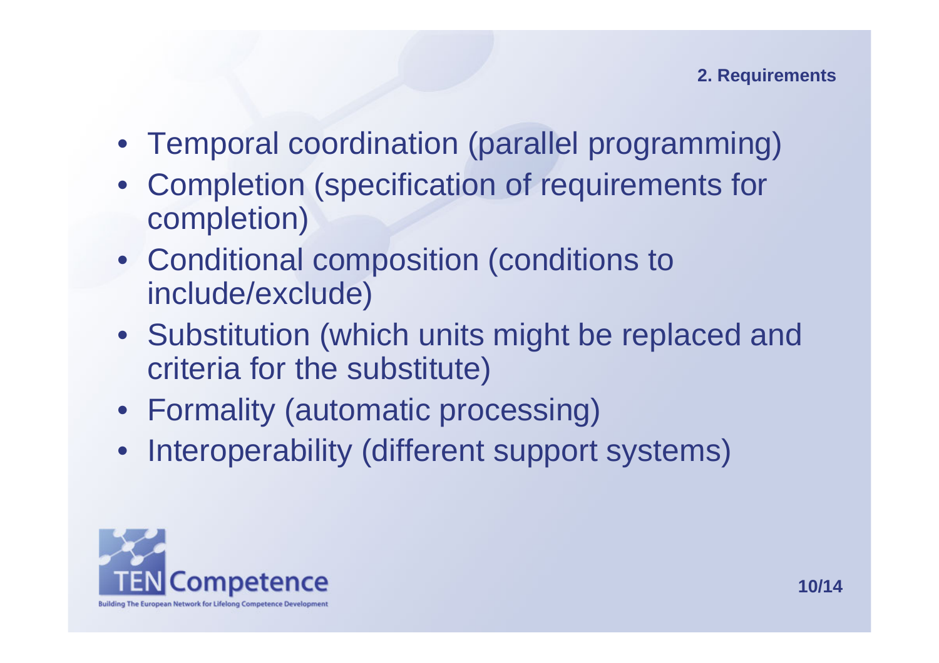- Temporal coordination (parallel programming)
- Completion (specification of requirements for completion)
- Conditional composition (conditions to include/exclude)
- Substitution (which units might be replaced and criteria for the substitute)
- Formality (automatic processing)
- Interoperability (different support systems)

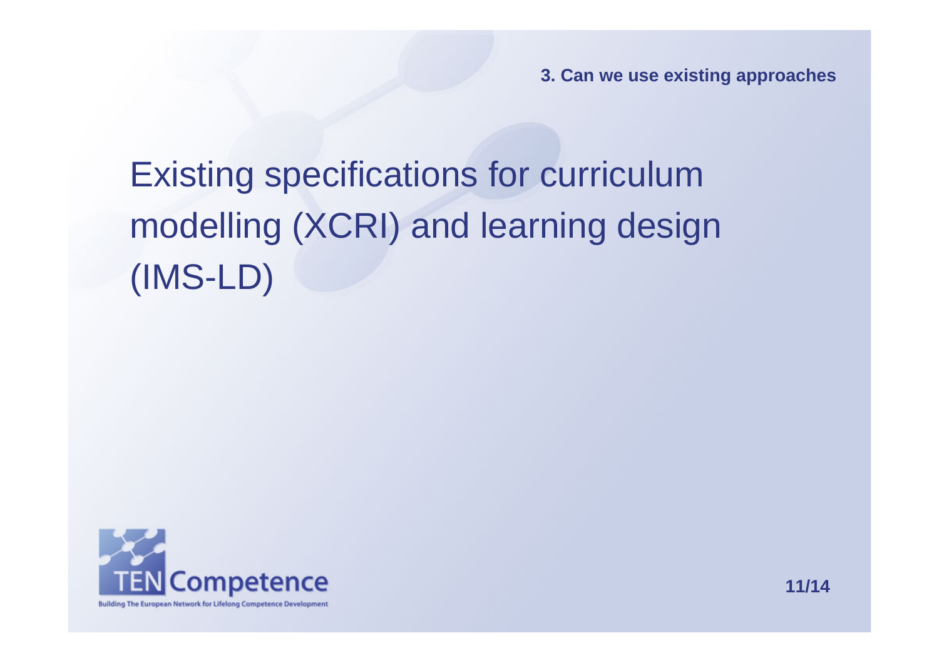**3. Can we use existing approaches**

# Existing specifications for curriculum modelling (XCRI) and learning design (IMS-LD)

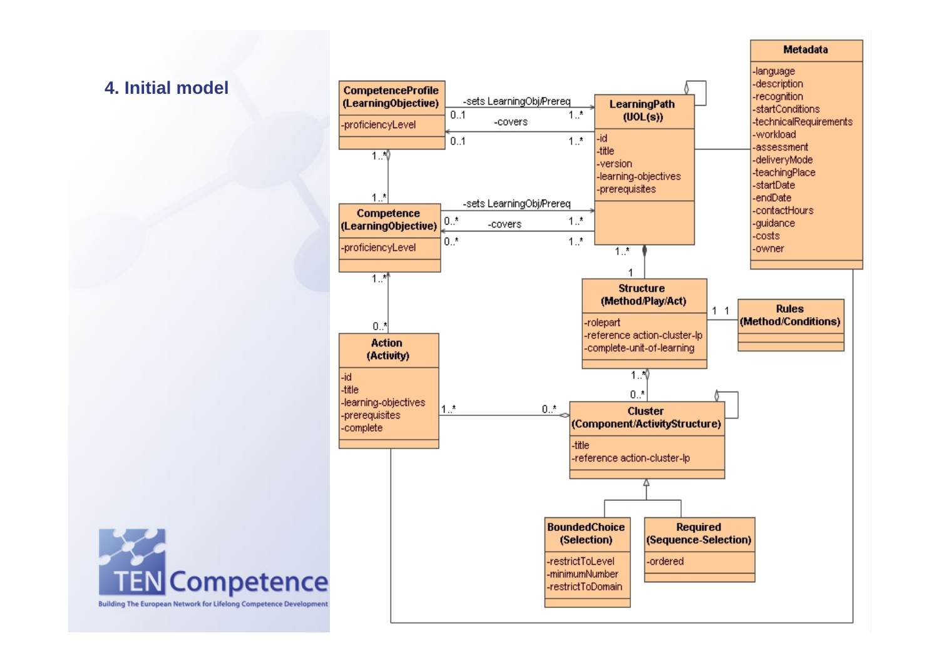### **4. Initial model**



**Metadata** 

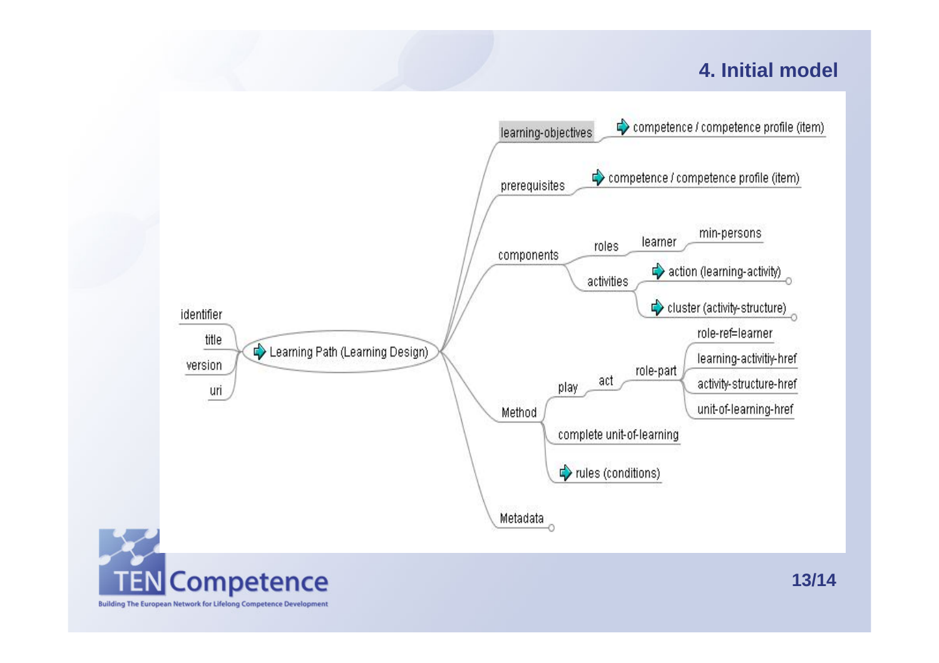### **4. Initial model**